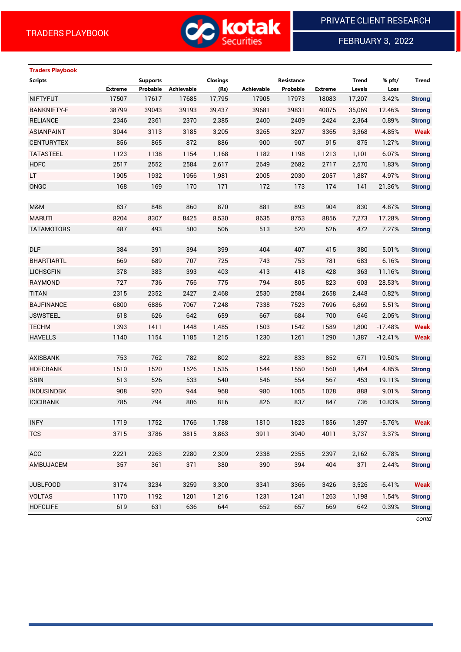

FEBRUARY 3, 2022

# **Traders Playbook**

| <b>Scripts</b>     |                | <b>Supports</b> |            | Closings |            | Resistance |                | <b>Trend</b> | % pft/    | <b>Trend</b>  |
|--------------------|----------------|-----------------|------------|----------|------------|------------|----------------|--------------|-----------|---------------|
|                    | <b>Extreme</b> | Probable        | Achievable | (Rs)     | Achievable | Probable   | <b>Extreme</b> | Levels       | Loss      |               |
| <b>NIFTYFUT</b>    | 17507          | 17617           | 17685      | 17,795   | 17905      | 17973      | 18083          | 17,207       | 3.42%     | <b>Strong</b> |
| <b>BANKNIFTY-F</b> | 38799          | 39043           | 39193      | 39,437   | 39681      | 39831      | 40075          | 35,069       | 12.46%    | <b>Strong</b> |
| <b>RELIANCE</b>    | 2346           | 2361            | 2370       | 2,385    | 2400       | 2409       | 2424           | 2,364        | 0.89%     | <b>Strong</b> |
| <b>ASIANPAINT</b>  | 3044           | 3113            | 3185       | 3,205    | 3265       | 3297       | 3365           | 3,368        | $-4.85%$  | <b>Weak</b>   |
| <b>CENTURYTEX</b>  | 856            | 865             | 872        | 886      | 900        | 907        | 915            | 875          | 1.27%     | <b>Strong</b> |
| <b>TATASTEEL</b>   | 1123           | 1138            | 1154       | 1,168    | 1182       | 1198       | 1213           | 1,101        | 6.07%     | <b>Strong</b> |
| <b>HDFC</b>        | 2517           | 2552            | 2584       | 2,617    | 2649       | 2682       | 2717           | 2,570        | 1.83%     | <b>Strong</b> |
| LT.                | 1905           | 1932            | 1956       | 1,981    | 2005       | 2030       | 2057           | 1,887        | 4.97%     | <b>Strong</b> |
| ONGC               | 168            | 169             | 170        | 171      | 172        | 173        | 174            | 141          | 21.36%    | <b>Strong</b> |
|                    |                |                 |            |          |            |            |                |              |           |               |
| M&M                | 837            | 848             | 860        | 870      | 881        | 893        | 904            | 830          | 4.87%     | <b>Strong</b> |
| <b>MARUTI</b>      | 8204           | 8307            | 8425       | 8,530    | 8635       | 8753       | 8856           | 7,273        | 17.28%    | <b>Strong</b> |
| <b>TATAMOTORS</b>  | 487            | 493             | 500        | 506      | 513        | 520        | 526            | 472          | 7.27%     | <b>Strong</b> |
|                    |                |                 |            |          |            |            |                |              |           |               |
| <b>DLF</b>         | 384            | 391             | 394        | 399      | 404        | 407        | 415            | 380          | 5.01%     | <b>Strong</b> |
| <b>BHARTIARTL</b>  | 669            | 689             | 707        | 725      | 743        | 753        | 781            | 683          | 6.16%     | <b>Strong</b> |
| <b>LICHSGFIN</b>   | 378            | 383             | 393        | 403      | 413        | 418        | 428            | 363          | 11.16%    | <b>Strong</b> |
| <b>RAYMOND</b>     | 727            | 736             | 756        | 775      | 794        | 805        | 823            | 603          | 28.53%    | <b>Strong</b> |
| <b>TITAN</b>       | 2315           | 2352            | 2427       | 2,468    | 2530       | 2584       | 2658           | 2,448        | 0.82%     | <b>Strong</b> |
| <b>BAJFINANCE</b>  | 6800           | 6886            | 7067       | 7,248    | 7338       | 7523       | 7696           | 6,869        | 5.51%     | <b>Strong</b> |
| <b>JSWSTEEL</b>    | 618            | 626             | 642        | 659      | 667        | 684        | 700            | 646          | 2.05%     | <b>Strong</b> |
| <b>TECHM</b>       | 1393           | 1411            | 1448       | 1,485    | 1503       | 1542       | 1589           | 1,800        | $-17.48%$ | <b>Weak</b>   |
| <b>HAVELLS</b>     | 1140           | 1154            | 1185       | 1,215    | 1230       | 1261       | 1290           | 1,387        | $-12.41%$ | <b>Weak</b>   |
|                    |                |                 |            |          |            |            |                |              |           |               |
| <b>AXISBANK</b>    | 753            | 762             | 782        | 802      | 822        | 833        | 852            | 671          | 19.50%    | <b>Strong</b> |
| <b>HDFCBANK</b>    | 1510           | 1520            | 1526       | 1,535    | 1544       | 1550       | 1560           | 1,464        | 4.85%     | <b>Strong</b> |
| <b>SBIN</b>        | 513            | 526             | 533        | 540      | 546        | 554        | 567            | 453          | 19.11%    | <b>Strong</b> |
| <b>INDUSINDBK</b>  | 908            | 920             | 944        | 968      | 980        | 1005       | 1028           | 888          | 9.01%     | <b>Strong</b> |
| <b>ICICIBANK</b>   | 785            | 794             | 806        | 816      | 826        | 837        | 847            | 736          | 10.83%    | <b>Strong</b> |
|                    |                |                 |            |          |            |            |                |              |           |               |
| <b>INFY</b>        | 1719           | 1752            | 1766       | 1,788    | 1810       | 1823       | 1856           | 1,897        | $-5.76%$  | <b>Weak</b>   |
| <b>TCS</b>         | 3715           | 3786            | 3815       | 3,863    | 3911       | 3940       | 4011           | 3,737        | 3.37%     | <b>Strong</b> |
|                    |                |                 |            |          |            |            |                |              |           |               |
| ACC                | 2221           | 2263            | 2280       | 2,309    | 2338       | 2355       | 2397           | 2,162        | 6.78%     | <b>Strong</b> |
| AMBUJACEM          | 357            | 361             | 371        | 380      | 390        | 394        | 404            | 371          | 2.44%     | <b>Strong</b> |
|                    |                |                 |            |          |            |            |                |              |           |               |
| <b>JUBLFOOD</b>    | 3174           | 3234            | 3259       | 3,300    | 3341       | 3366       | 3426           | 3,526        | $-6.41%$  | <b>Weak</b>   |
| <b>VOLTAS</b>      | 1170           | 1192            | 1201       | 1,216    | 1231       | 1241       | 1263           | 1,198        | 1.54%     | <b>Strong</b> |
| <b>HDFCLIFE</b>    | 619            | 631             | 636        | 644      | 652        | 657        | 669            | 642          | 0.39%     | <b>Strong</b> |

*contd*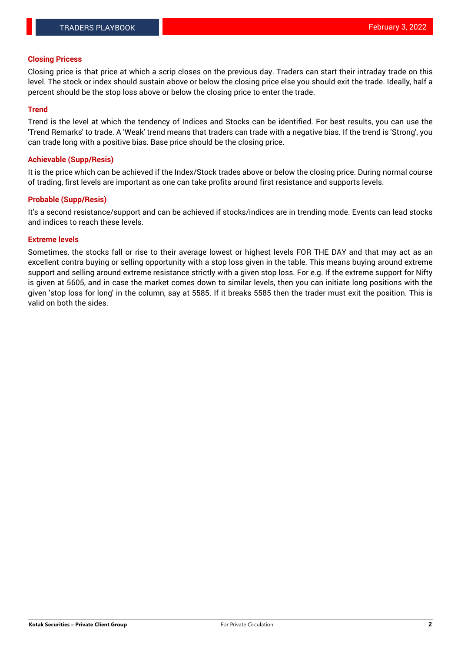### **Closing Pricess**

Closing price is that price at which a scrip closes on the previous day. Traders can start their intraday trade on this level. The stock or index should sustain above or below the closing price else you should exit the trade. Ideally, half a percent should be the stop loss above or below the closing price to enter the trade.

### **Trend**

Trend is the level at which the tendency of Indices and Stocks can be identified. For best results, you can use the 'Trend Remarks' to trade. A 'Weak' trend means that traders can trade with a negative bias. If the trend is 'Strong', you can trade long with a positive bias. Base price should be the closing price.

#### **Achievable (Supp/Resis)**

It is the price which can be achieved if the Index/Stock trades above or below the closing price. During normal course of trading, first levels are important as one can take profits around first resistance and supports levels.

### **Probable (Supp/Resis)**

It's a second resistance/support and can be achieved if stocks/indices are in trending mode. Events can lead stocks and indices to reach these levels.

### **Extreme levels**

Sometimes, the stocks fall or rise to their average lowest or highest levels FOR THE DAY and that may act as an excellent contra buying or selling opportunity with a stop loss given in the table. This means buying around extreme support and selling around extreme resistance strictly with a given stop loss. For e.g. If the extreme support for Nifty is given at 5605, and in case the market comes down to similar levels, then you can initiate long positions with the given 'stop loss for long' in the column, say at 5585. If it breaks 5585 then the trader must exit the position. This is valid on both the sides.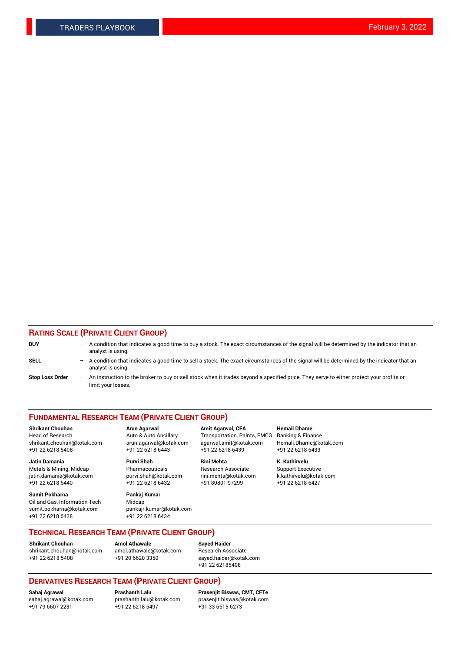### **RATING SCALE (PRIVATE CLIENT GROUP)**

| <b>BUY</b>             | $-$ | A condition that indicates a good time to buy a stock. The exact circumstances of the signal will be determined by the indicator that an<br>analyst is using.    |
|------------------------|-----|------------------------------------------------------------------------------------------------------------------------------------------------------------------|
| <b>SELL</b>            |     | - A condition that indicates a good time to sell a stock. The exact circumstances of the signal will be determined by the indicator that an<br>analyst is using. |
| <b>Stop Loss Order</b> | $-$ | An instruction to the broker to buy or sell stock when it trades beyond a specified price. They serve to either protect your profits or<br>limit your losses.    |

#### **FUNDAMENTAL RESEARCH TEAM (PRIVATE CLIENT GROUP)**

Head of Research Auto & Auto Ancillary Transportation, Paints, FMCG Banking & Finance shrikant.chouhan@kotak.com arun.agarwal@kotak.com agarwal.amit@kotak.com Hemali.Dhame@kotak.com +91 22 6218 5408 +91 22 6218 6443 +91 22 6218 6439 +91 22 6218 6433

**Jatin Damania Purvi Shah Rini Mehta K. Kathirvelu** Metals & Mining, Midcap **Pharmaceuticals** Research Associate Support Executive jatin.damania@kotak.com [purvi.shah@kotak.com](mailto:purvi.shah@kotak.com) rini.mehta@kotak.com [k.kathirvelu@kotak.com](mailto:k.kathirvelu@kotak.com)  $+91$  22 6218 6440  $+91$  22 6218 6432

**Sumit Pokharna Pankaj Kumar** Oil and Gas, Information Tech Midcap sumit.pokharna@kotak.com pankajr.kumar@kotak.com +91 22 6218 6438 +91 22 6218 6434

**Shrikant Chouhan Arun Agarwal Amit Agarwal, CFA Hemali Dhame**

**TECHNICAL RESEARCH TEAM (PRIVATE CLIENT GROUP)**

**Shrikant Chouhan Amol Athawale Sayed Haider**<br>shrikant.chouhan@kotak.com amol.athawale@kotak.com Research Ass [shrikant.chouhan@kotak.com](mailto:shrikant.chouhan@kotak.com) [amol.athawale@kotak.com](mailto:amol.athawale@kotak.com) Research Associate +91 22 6218 5408 +91 20 6620 3350 [sayed.haider@kotak.com](mailto:sayed.haider@kotak.com)

+91 22 62185498

# **DERIVATIVES RESEARCH TEAM (PRIVATE CLIENT GROUP)**

 $+91$  22 6218 5497

**Sahaj Agrawal Prashanth Lalu Prasenjit Biswas, CMT, CFTe** [sahaj.agrawal@kotak.com](mailto:sahaj.agrawal@kotak.com) [prashanth.lalu@kotak.com](mailto:prashanth.lalu@kotak.com) [prasenjit.biswas@kotak.com](mailto:prasenjit.biswas@kotak.com)